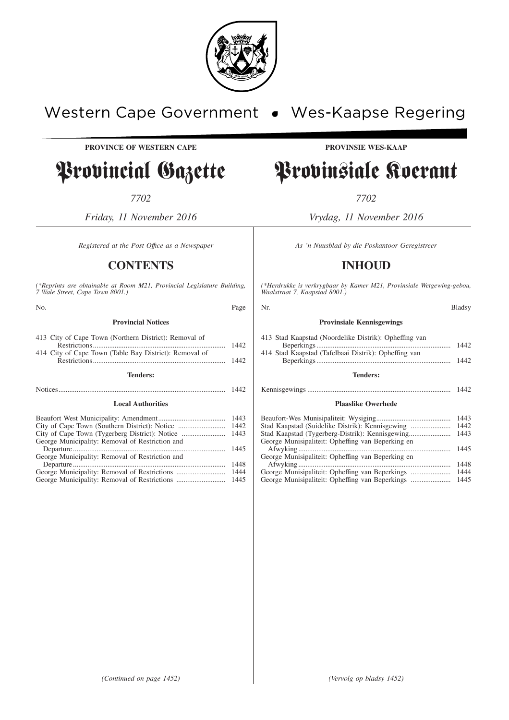

# Western Cape Government . Wes-Kaapse Regering

**PROVINCE OF WESTERN CAPE PROVINSIE WES-KAAP**

# Provincial Gazette Provinsiale Koerant

*7702 7702*

*Friday, 11 November 2016 Vrydag, 11 November 2016*

## **CONTENTS INHOUD**

*(\*Reprints are obtainable at Room M21, Provincial Legislature Building, 7 Wale Street, Cape Town 8001.)*

| No.                                                                                                             | Page         | Nr.                                                                                                           | <b>Bladsy</b> |
|-----------------------------------------------------------------------------------------------------------------|--------------|---------------------------------------------------------------------------------------------------------------|---------------|
| <b>Provincial Notices</b>                                                                                       |              | <b>Provinsiale Kennisgewings</b>                                                                              |               |
| 413 City of Cape Town (Northern District): Removal of<br>414 City of Cape Town (Table Bay District): Removal of | 1442<br>1442 | 413 Stad Kaapstad (Noordelike Distrik): Opheffing van<br>414 Stad Kaapstad (Tafelbaai Distrik): Opheffing van |               |
| <b>Tenders:</b>                                                                                                 |              | <b>Tenders:</b>                                                                                               |               |
|                                                                                                                 | 1442         |                                                                                                               |               |
| <b>Local Authorities</b>                                                                                        |              | <b>Plaaslike Owerhede</b>                                                                                     |               |
| George Municipality: Removal of Restriction and<br>George Municipality: Removal of Restriction and              |              | George Munisipaliteit: Opheffing van Beperking en<br>George Munisipaliteit: Opheffing van Beperking en        |               |
|                                                                                                                 |              |                                                                                                               |               |

George Municipality: Removal of Restrictions ........................... 1444 George Municipality: Removal of Restrictions ........................... 1445

*Registered at the Post Office as a Newspaper* As 'n Nuusblad by die Poskantoor Geregistreer

*(\*Herdrukke is verkrygbaar by Kamer M21, Provinsiale Wetgewing-gebou, Waalstraat 7, Kaapstad 8001.)*

#### **Provinsiale Kennisgewings**

| 413 Stad Kaapstad (Noordelike Distrik): Opheffing van |      |
|-------------------------------------------------------|------|
|                                                       | 1442 |
| 414 Stad Kaapstad (Tafelbaai Distrik): Opheffing van  |      |
|                                                       | 1442 |
|                                                       |      |

#### **Tenders:**

# Kennisgewings ............................................................................... 1442

## **Plaaslike Owerhede** Beaufort-Wes Munisipaliteit: Wysiging......................................... 1443

|                                                   | 1445 |
|---------------------------------------------------|------|
|                                                   |      |
|                                                   |      |
| George Munisipaliteit: Opheffing van Beperking en |      |
|                                                   | 1445 |
| George Munisipaliteit: Opheffing van Beperking en |      |
|                                                   | 1448 |
|                                                   | 1444 |
|                                                   |      |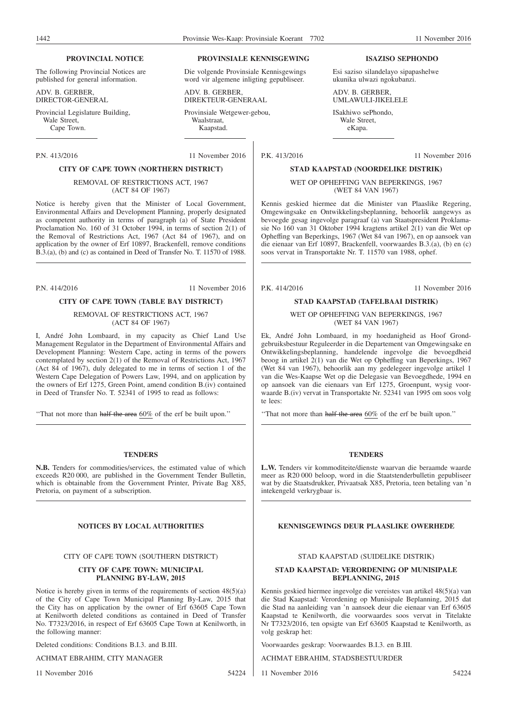**PROVINSIALE KENNISGEWING** Die volgende Provinsiale Kennisgewings word vir algemene inligting gepubliseer.

#### **PROVINCIAL NOTICE**

The following Provincial Notices are published for general information.

ADV. B. GERBER, DIRECTOR-GENERAL

Provincial Legislature Building, Wale Street. Cape Town.

## **CITY OF CAPE TOWN (NORTHERN DISTRICT)**

REMOVAL OF RESTRICTIONS ACT, 1967 (ACT 84 OF 1967)

Notice is hereby given that the Minister of Local Government, Environmental Affairs and Development Planning, properly designated as competent authority in terms of paragraph (a) of State President Proclamation No. 160 of 31 October 1994, in terms of section 2(1) of the Removal of Restrictions Act, 1967 (Act 84 of 1967), and on application by the owner of Erf 10897, Brackenfell, remove conditions B.3.(a), (b) and (c) as contained in Deed of Transfer No. T. 11570 of 1988.

P.N. 414/2016 11 November 2016

#### **CITY OF CAPE TOWN (TABLE BAY DISTRICT)**

REMOVAL OF RESTRICTIONS ACT, 1967 (ACT 84 OF 1967)

I, André John Lombaard, in my capacity as Chief Land Use Management Regulator in the Department of Environmental Affairs and Development Planning: Western Cape, acting in terms of the powers contemplated by section 2(1) of the Removal of Restrictions Act, 1967 (Act 84 of 1967), duly delegated to me in terms of section 1 of the Western Cape Delegation of Powers Law, 1994, and on application by the owners of Erf 1275, Green Point, amend condition B.(iv) contained in Deed of Transfer No. T. 52341 of 1995 to read as follows:

''That not more than half the area 60% of the erf be built upon.''

#### **TENDERS**

**N.B.** Tenders for commodities/services, the estimated value of which exceeds R20 000, are published in the Government Tender Bulletin, which is obtainable from the Government Printer, Private Bag X85, Pretoria, on payment of a subscription.

CITY OF CAPE TOWN (SOUTHERN DISTRICT)

#### **CITY OF CAPE TOWN: MUNICIPAL PLANNING BY-LAW, 2015**

Notice is hereby given in terms of the requirements of section 48(5)(a) of the City of Cape Town Municipal Planning By-Law, 2015 that the City has on application by the owner of Erf 63605 Cape Town at Kenilworth deleted conditions as contained in Deed of Transfer No. T7323/2016, in respect of Erf 63605 Cape Town at Kenilworth, in the following manner:

Deleted conditions: Conditions B.I.3. and B.III.

#### ACHMAT EBRAHIM, CITY MANAGER

11 November 2016 54224

ADV R GERRER

DIREKTEUR-GENERAAL

Provinsiale Wetgewer-gebou, Waalstraat, Kaapstad.

P.N. 413/2016 11 November 2016

## P.K. 413/2016 11 November 2016 **STAD KAAPSTAD (NOORDELIKE DISTRIK)**

WET OP OPHEFFING VAN BEPERKINGS, 1967 (WET 84 VAN 1967)

Kennis geskied hiermee dat die Minister van Plaaslike Regering, Omgewingsake en Ontwikkelingsbeplanning, behoorlik aangewys as bevoegde gesag ingevolge paragraaf (a) van Staatspresident Proklamasie No 160 van 31 Oktober 1994 kragtens artikel 2(1) van die Wet op Opheffing van Beperkings, 1967 (Wet 84 van 1967), en op aansoek van die eienaar van Erf 10897, Brackenfell, voorwaardes B.3.(a), (b) en (c)

P.K. 414/2016 11 November 2016

#### **STAD KAAPSTAD (TAFELBAAI DISTRIK)**

#### WET OP OPHEFFING VAN BEPERKINGS, 1967 (WET 84 VAN 1967)

Ek, André John Lombaard, in my hoedanigheid as Hoof Grondgebruiksbestuur Reguleerder in die Departement van Omgewingsake en Ontwikkelingsbeplanning, handelende ingevolge die bevoegdheid beoog in artikel 2(1) van die Wet op Opheffing van Beperkings, 1967 (Wet 84 van 1967), behoorlik aan my gedelegeer ingevolge artikel 1 van die Wes-Kaapse Wet op die Delegasie van Bevoegdhede, 1994 en op aansoek van die eienaars van Erf 1275, Groenpunt, wysig voorwaarde B.(iv) vervat in Transportakte Nr. 52341 van 1995 om soos volg te lees:

''That not more than half the area 60% of the erf be built upon.''

#### **TENDERS**

**L.W.** Tenders vir kommoditeite/dienste waarvan die beraamde waarde meer as R20 000 beloop, word in die Staatstenderbulletin gepubliseer wat by die Staatsdrukker, Privaatsak X85, Pretoria, teen betaling van 'n intekengeld verkrygbaar is.

#### **NOTICES BY LOCAL AUTHORITIES KENNISGEWINGS DEUR PLAASLIKE OWERHEDE**

#### STAD KAAPSTAD (SUIDELIKE DISTRIK)

#### **STAD KAAPSTAD: VERORDENING OP MUNISIPALE BEPLANNING, 2015**

Kennis geskied hiermee ingevolge die vereistes van artikel 48(5)(a) van die Stad Kaapstad: Verordening op Munisipale Beplanning, 2015 dat die Stad na aanleiding van 'n aansoek deur die eienaar van Erf 63605 Kaapstad te Kenilworth, die voorwaardes soos vervat in Titelakte Nr T7323/2016, ten opsigte van Erf 63605 Kaapstad te Kenilworth, as volg geskrap het:

Voorwaardes geskrap: Voorwaardes B.I.3. en B.III.

ACHMAT EBRAHIM, STADSBESTUURDER

11 November 2016 54224

#### **ISAZISO SEPHONDO**

Esi saziso silandelayo sipapashelwe ukunika ulwazi ngokubanzi.

ADV. B. GERBER UMLAWULI-JIKELELE

ISakhiwo sePhondo, Wale Street, eKapa.

soos vervat in Transportakte Nr. T. 11570 van 1988, ophef.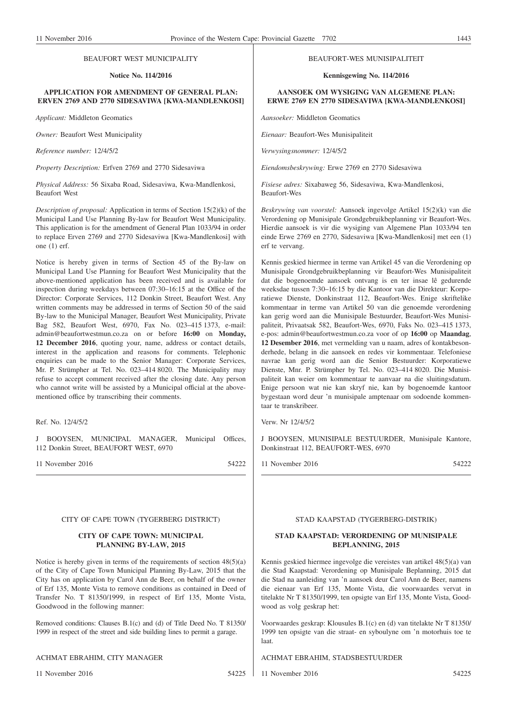#### BEAUFORT WEST MUNICIPALITY

#### **Notice No. 114/2016**

#### **APPLICATION FOR AMENDMENT OF GENERAL PLAN: ERVEN 2769 AND 2770 SIDESAVIWA [KWA-MANDLENKOSI]**

*Applicant:* Middleton Geomatics

*Owner:* Beaufort West Municipality

*Reference number:* 12/4/5/2

*Property Description:* Erfven 2769 and 2770 Sidesaviwa

*Physical Address:* 56 Sixaba Road, Sidesaviwa, Kwa-Mandlenkosi, Beaufort West

*Description of proposal:* Application in terms of Section 15(2)(k) of the Municipal Land Use Planning By-law for Beaufort West Municipality. This application is for the amendment of General Plan 1033/94 in order to replace Erven 2769 and 2770 Sidesaviwa [Kwa-Mandlenkosi] with one (1) erf.

Notice is hereby given in terms of Section 45 of the By-law on Municipal Land Use Planning for Beaufort West Municipality that the above-mentioned application has been received and is available for inspection during weekdays between 07:30–16:15 at the Office of the Director: Corporate Services, 112 Donkin Street, Beaufort West. Any written comments may be addressed in terms of Section 50 of the said By-law to the Municipal Manager, Beaufort West Municipality, Private Bag 582, Beaufort West, 6970, Fax No. 023–415 1373, e-mail: admin@beaufortwestmun.co.za on or before **16:00** on **Monday, 12 December 2016**, quoting your, name, address or contact details, interest in the application and reasons for comments. Telephonic enquiries can be made to the Senior Manager: Corporate Services, Mr. P. Strümpher at Tel. No. 023–414 8020. The Municipality may refuse to accept comment received after the closing date. Any person who cannot write will be assisted by a Municipal official at the abovementioned office by transcribing their comments.

Ref. No. 12/4/5/2

J BOOYSEN, MUNICIPAL MANAGER, Municipal Offices, 112 Donkin Street, BEAUFORT WEST, 6970

11 November 2016 54222

#### CITY OF CAPE TOWN (TYGERBERG DISTRICT)

#### **CITY OF CAPE TOWN: MUNICIPAL PLANNING BY-LAW, 2015**

Notice is hereby given in terms of the requirements of section  $48(5)(a)$ of the City of Cape Town Municipal Planning By-Law, 2015 that the City has on application by Carol Ann de Beer, on behalf of the owner of Erf 135, Monte Vista to remove conditions as contained in Deed of Transfer No. T 81350/1999, in respect of Erf 135, Monte Vista, Goodwood in the following manner:

Removed conditions: Clauses B.1(c) and (d) of Title Deed No. T 81350/ 1999 in respect of the street and side building lines to permit a garage.

#### ACHMAT EBRAHIM, CITY MANAGER

11 November 2016 54225

#### BEAUFORT-WES MUNISIPALITEIT

**Kennisgewing No. 114/2016**

### **AANSOEK OM WYSIGING VAN ALGEMENE PLAN: ERWE 2769 EN 2770 SIDESAVIWA [KWA-MANDLENKOSI]**

*Aansoeker:* Middleton Geomatics

*Eienaar:* Beaufort-Wes Munisipaliteit

*Verwysingsnommer:* 12/4/5/2

*Eiendomsbeskrywing:* Erwe 2769 en 2770 Sidesaviwa

*Fisiese adres:* Sixabaweg 56, Sidesaviwa, Kwa-Mandlenkosi, Beaufort-Wes

*Beskrywing van voorstel:* Aansoek ingevolge Artikel 15(2)(k) van die Verordening op Munisipale Grondgebruikbeplanning vir Beaufort-Wes. Hierdie aansoek is vir die wysiging van Algemene Plan 1033/94 ten einde Erwe 2769 en 2770, Sidesaviwa [Kwa-Mandlenkosi] met een (1) erf te vervang.

Kennis geskied hiermee in terme van Artikel 45 van die Verordening op Munisipale Grondgebruikbeplanning vir Beaufort-Wes Munisipaliteit dat die bogenoemde aansoek ontvang is en ter insae lê gedurende weeksdae tussen 7:30–16:15 by die Kantoor van die Direkteur: Korporatiewe Dienste, Donkinstraat 112, Beaufort-Wes. Enige skriftelike kommentaar in terme van Artikel 50 van die genoemde verordening kan gerig word aan die Munisipale Bestuurder, Beaufort-Wes Munisipaliteit, Privaatsak 582, Beaufort-Wes, 6970, Faks No. 023–415 1373, e-pos: admin@beaufortwestmun.co.za voor of op **16:00** op **Maandag**, **12 Desember 2016**, met vermelding van u naam, adres of kontakbesonderhede, belang in die aansoek en redes vir kommentaar. Telefoniese navrae kan gerig word aan die Senior Bestuurder: Korporatiewe Dienste, Mnr. P. Strümpher by Tel. No. 023–414 8020. Die Munisipaliteit kan weier om kommentaar te aanvaar na die sluitingsdatum. Enige persoon wat nie kan skryf nie, kan by bogenoemde kantoor bygestaan word deur 'n munisipale amptenaar om sodoende kommentaar te transkribeer.

Verw. Nr 12/4/5/2

J BOOYSEN, MUNISIPALE BESTUURDER, Munisipale Kantore, Donkinstraat 112, BEAUFORT-WES, 6970

11 November 2016 54222

## STAD KAAPSTAD (TYGERBERG-DISTRIK)

#### **STAD KAAPSTAD: VERORDENING OP MUNISIPALE BEPLANNING, 2015**

Kennis geskied hiermee ingevolge die vereistes van artikel 48(5)(a) van die Stad Kaapstad: Verordening op Munisipale Beplanning, 2015 dat die Stad na aanleiding van 'n aansoek deur Carol Ann de Beer, namens die eienaar van Erf 135, Monte Vista, die voorwaardes vervat in titelakte Nr T 81350/1999, ten opsigte van Erf 135, Monte Vista, Goodwood as volg geskrap het:

Voorwaardes geskrap: Klousules B.1(c) en (d) van titelakte Nr T 81350/ 1999 ten opsigte van die straat- en syboulyne om 'n motorhuis toe te laat.

ACHMAT EBRAHIM, STADSBESTUURDER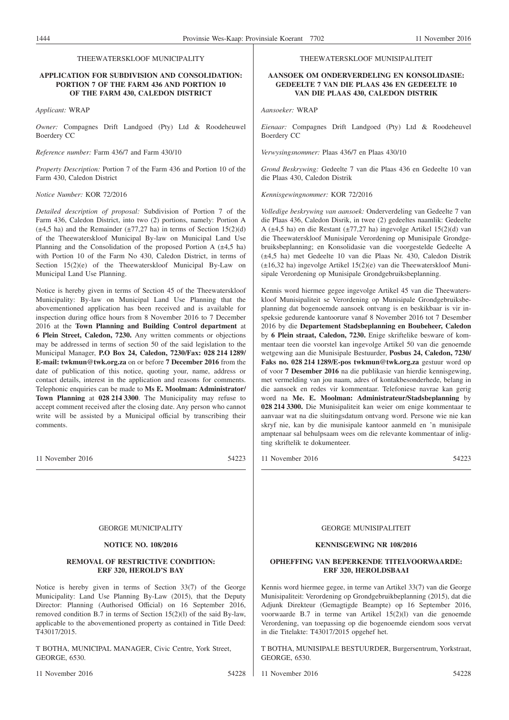#### THEEWATERSKLOOF MUNICIPALITY

#### **APPLICATION FOR SUBDIVISION AND CONSOLIDATION: PORTION 7 OF THE FARM 436 AND PORTION 10 OF THE FARM 430, CALEDON DISTRICT**

*Applicant:* WRAP

*Owner:* Compagnes Drift Landgoed (Pty) Ltd & Roodeheuwel Boerdery CC

*Reference number:* Farm 436/7 and Farm 430/10

*Property Description:* Portion 7 of the Farm 436 and Portion 10 of the Farm 430, Caledon District

#### *Notice Number:* KOR 72/2016

*Detailed description of proposal:* Subdivision of Portion 7 of the Farm 436, Caledon District, into two (2) portions, namely: Portion A  $(\pm 4,5 \text{ ha})$  and the Remainder  $(\pm 77,27 \text{ ha})$  in terms of Section 15(2)(d) of the Theewaterskloof Municipal By-law on Municipal Land Use Planning and the Consolidation of the proposed Portion A  $(\pm 4.5 \text{ ha})$ with Portion 10 of the Farm No 430, Caledon District, in terms of Section 15(2)(e) of the Theewaterskloof Municipal By-Law on Municipal Land Use Planning.

Notice is hereby given in terms of Section 45 of the Theewaterskloof Municipality: By-law on Municipal Land Use Planning that the abovementioned application has been received and is available for inspection during office hours from 8 November 2016 to 7 December 2016 at the **Town Planning and Building Control department** at **6 Plein Street, Caledon, 7230.** Any written comments or objections may be addressed in terms of section 50 of the said legislation to the Municipal Manager, **P.O Box 24, Caledon, 7230/Fax: 028 214 1289/ E-mail: twkmun@twk.org.za** on or before **7 December 2016** from the date of publication of this notice, quoting your, name, address or contact details, interest in the application and reasons for comments. Telephonic enquiries can be made to **Ms E. Moolman: Administrator/ Town Planning** at **028 214 3300**. The Municipality may refuse to accept comment received after the closing date. Any person who cannot write will be assisted by a Municipal official by transcribing their comments.

11 November 2016 54223

#### THEEWATERSKLOOF MUNISIPALITEIT

#### **AANSOEK OM ONDERVERDELING EN KONSOLIDASIE: GEDEELTE 7 VAN DIE PLAAS 436 EN GEDEELTE 10 VAN DIE PLAAS 430, CALEDON DISTRIK**

*Aansoeker:* WRAP

*Eienaar:* Compagnes Drift Landgoed (Pty) Ltd & Roodeheuvel Boerdery CC

*Verwysingsnommer:* Plaas 436/7 en Plaas 430/10

*Grond Beskrywing:* Gedeelte 7 van die Plaas 436 en Gedeelte 10 van die Plaas 430, Caledon Distrik

*Kennisgewingnommer:* KOR 72/2016

*Volledige beskrywing van aansoek:* Onderverdeling van Gedeelte 7 van die Plaas 436, Caledon Disrik, in twee (2) gedeeltes naamlik: Gedeelte A (±4,5 ha) en die Restant (±77,27 ha) ingevolge Artikel 15(2)(d) van die Theewaterskloof Munisipale Verordening op Munisipale Grondgebruiksbeplanning; en Konsolidasie van die voorgestelde Gedeelte A (±4,5 ha) met Gedeelte 10 van die Plaas Nr. 430, Caledon Distrik (±16,32 ha) ingevolge Artikel 15(2)(e) van die Theewaterskloof Munisipale Verordening op Munisipale Grondgebruiksbeplanning.

Kennis word hiermee gegee ingevolge Artikel 45 van die Theewaterskloof Munisipaliteit se Verordening op Munisipale Grondgebruiksbeplanning dat bogenoemde aansoek ontvang is en beskikbaar is vir inspeksie gedurende kantoorure vanaf 8 November 2016 tot 7 Desember 2016 by die **Departement Stadsbeplanning en Boubeheer, Caledon** by **6 Plein straat, Caledon, 7230.** Enige skriftelike besware of kommentaar teen die voorstel kan ingevolge Artikel 50 van die genoemde wetgewing aan die Munisipale Bestuurder, **Posbus 24, Caledon, 7230/ Faks no. 028 214 1289/E-pos twkmun@twk.org.za** gestuur word op of voor **7 Desember 2016** na die publikasie van hierdie kennisgewing, met vermelding van jou naam, adres of kontakbesonderhede, belang in die aansoek en redes vir kommentaar. Telefoniese navrae kan gerig word na **Me. E. Moolman: Administrateur/Stadsbeplanning** by **028 214 3300.** Die Munisipaliteit kan weier om enige kommentaar te aanvaar wat na die sluitingsdatum ontvang word. Persone wie nie kan skryf nie, kan by die munisipale kantoor aanmeld en 'n munisipale amptenaar sal behulpsaam wees om die relevante kommentaar of inligting skriftelik te dokumenteer.

11 November 2016 54223

#### GEORGE MUNICIPALITY

#### **NOTICE NO. 108/2016**

#### **REMOVAL OF RESTRICTIVE CONDITION: ERF 320, HEROLD'S BAY**

Notice is hereby given in terms of Section 33(7) of the George Municipality: Land Use Planning By-Law (2015), that the Deputy Director: Planning (Authorised Official) on 16 September 2016, removed condition B.7 in terms of Section 15(2)(l) of the said By-law, applicable to the abovementioned property as contained in Title Deed: T43017/2015.

T BOTHA, MUNICIPAL MANAGER, Civic Centre, York Street, GEORGE, 6530.

11 November 2016 54228

#### GEORGE MUNISIPALITEIT

#### **KENNISGEWING NR 108/2016**

#### **OPHEFFING VAN BEPERKENDE TITELVOORWAARDE: ERF 320, HEROLDSBAAI**

Kennis word hiermee gegee, in terme van Artikel 33(7) van die George Munisipaliteit: Verordening op Grondgebruikbeplanning (2015), dat die Adjunk Direkteur (Gemagtigde Beampte) op 16 September 2016, voorwaarde B.7 in terme van Artikel 15(2)(l) van die genoemde Verordening, van toepassing op die bogenoemde eiendom soos vervat in die Titelakte: T43017/2015 opgehef het.

T BOTHA, MUNISIPALE BESTUURDER, Burgersentrum, Yorkstraat, GEORGE, 6530.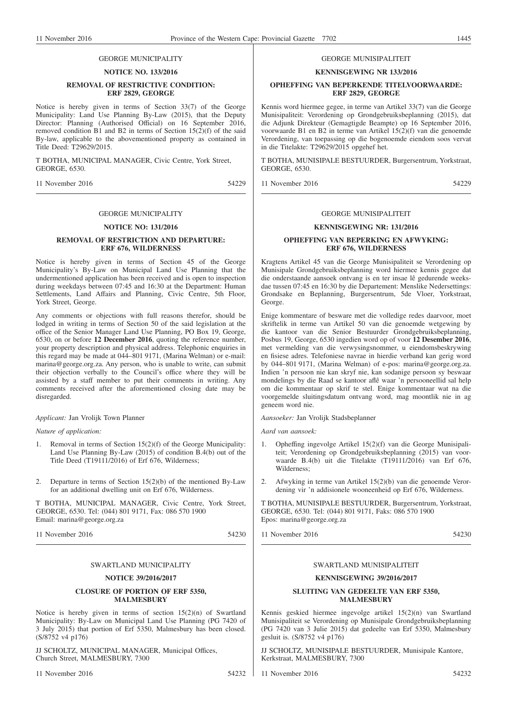#### GEORGE MUNICIPALITY

#### **NOTICE NO. 133/2016**

#### **REMOVAL OF RESTRICTIVE CONDITION: ERF 2829, GEORGE**

Notice is hereby given in terms of Section 33(7) of the George Municipality: Land Use Planning By-Law (2015), that the Deputy Director: Planning (Authorised Official) on 16 September 2016, removed condition B1 and B2 in terms of Section  $15(2)(f)$  of the said By-law, applicable to the abovementioned property as contained in Title Deed: T29629/2015.

T BOTHA, MUNICIPAL MANAGER, Civic Centre, York Street, GEORGE, 6530.

11 November 2016 54229

#### GEORGE MUNICIPALITY

#### **NOTICE NO: 131/2016**

#### **REMOVAL OF RESTRICTION AND DEPARTURE: ERF 676, WILDERNESS**

Notice is hereby given in terms of Section 45 of the George Municipality's By-Law on Municipal Land Use Planning that the undermentioned application has been received and is open to inspection during weekdays between 07:45 and 16:30 at the Department: Human Settlements, Land Affairs and Planning, Civic Centre, 5th Floor, York Street, George.

Any comments or objections with full reasons therefor, should be lodged in writing in terms of Section 50 of the said legislation at the office of the Senior Manager Land Use Planning, PO Box 19, George, 6530, on or before **12 December 2016**, quoting the reference number, your property description and physical address. Telephonic enquiries in this regard may be made at 044–801 9171, (Marina Welman) or e-mail: marina@george.org.za. Any person, who is unable to write, can submit their objection verbally to the Council's office where they will be assisted by a staff member to put their comments in writing. Any comments received after the aforementioned closing date may be disregarded.

*Applicant:* Jan Vrolijk Town Planner

*Nature of application:*

- 1. Removal in terms of Section 15(2)(f) of the George Municipality: Land Use Planning By-Law  $(2015)$  of condition B.4(b) out of the Title Deed (T19111/2016) of Erf 676, Wilderness;
- 2. Departure in terms of Section 15(2)(b) of the mentioned By-Law for an additional dwelling unit on Erf 676, Wilderness.

T BOTHA, MUNICIPAL MANAGER, Civic Centre, York Street, GEORGE, 6530. Tel: (044) 801 9171, Fax: 086 570 1900 Email: marina@george.org.za

11 November 2016 54230

#### SWARTLAND MUNICIPALITY

#### **NOTICE 39/2016/2017**

#### **CLOSURE OF PORTION OF ERF 5350, MALMESBURY**

Notice is hereby given in terms of section 15(2)(n) of Swartland Municipality: By-Law on Municipal Land Use Planning (PG 7420 of 3 July 2015) that portion of Erf 5350, Malmesbury has been closed. (S/8752 v4 p176)

JJ SCHOLTZ, MUNICIPAL MANAGER, Municipal Offices, Church Street, MALMESBURY, 7300

11 November 2016 54232

#### GEORGE MUNISIPALITEIT

#### **KENNISGEWING NR 133/2016**

#### **OPHEFFING VAN BEPERKENDE TITELVOORWAARDE: ERF 2829, GEORGE**

Kennis word hiermee gegee, in terme van Artikel 33(7) van die George Munisipaliteit: Verordening op Grondgebruiksbeplanning (2015), dat die Adjunk Direkteur (Gemagtigde Beampte) op 16 September 2016, voorwaarde B1 en B2 in terme van Artikel 15(2)(f) van die genoemde Verordening, van toepassing op die bogenoemde eiendom soos vervat in die Titelakte: T29629/2015 opgehef het.

T BOTHA, MUNISIPALE BESTUURDER, Burgersentrum, Yorkstraat, GEORGE, 6530.

11 November 2016 54229

#### GEORGE MUNISIPALITEIT

#### **KENNISGEWING NR: 131/2016**

#### **OPHEFFING VAN BEPERKING EN AFWYKING: ERF 676, WILDERNESS**

Kragtens Artikel 45 van die George Munisipaliteit se Verordening op Munisipale Grondgebruiksbeplanning word hiermee kennis gegee dat die onderstaande aansoek ontvang is en ter insae lê gedurende weeksdae tussen 07:45 en 16:30 by die Departement: Menslike Nedersettings: Grondsake en Beplanning, Burgersentrum, 5de Vloer, Yorkstraat, George.

Enige kommentare of besware met die volledige redes daarvoor, moet skriftelik in terme van Artikel 50 van die genoemde wetgewing by die kantoor van die Senior Bestuurder Grondgebruiksbeplanning, Posbus 19, George, 6530 ingedien word op of voor **12 Desember 2016**, met vermelding van die verwysingsnommer, u eiendomsbeskrywing en fisiese adres. Telefoniese navrae in hierdie verband kan gerig word by 044–801 9171, (Marina Welman) of e-pos: marina@george.org.za. Indien 'n persoon nie kan skryf nie, kan sodanige persoon sy beswaar mondelings by die Raad se kantoor aflê waar 'n persooneellid sal help om die kommentaar op skrif te stel. Enige kommentaar wat na die voorgemelde sluitingsdatum ontvang word, mag moontlik nie in ag geneem word nie.

*Aansoeker:* Jan Vrolijk Stadsbeplanner

*Aard van aansoek:*

- 1. Opheffing ingevolge Artikel 15(2)(f) van die George Munisipaliteit; Verordening op Grondgebruiksbeplanning (2015) van voorwaarde B.4(b) uit die Titelakte (T19111/2016) van Erf 676, Wilderness;
- 2. Afwyking in terme van Artikel 15(2)(b) van die genoemde Verordening vir 'n addisionele wooneenheid op Erf 676, Wilderness.

T BOTHA, MUNISIPALE BESTUURDER, Burgersentrum, Yorkstraat, GEORGE, 6530. Tel: (044) 801 9171, Faks: 086 570 1900 Epos: marina@george.org.za

11 November 2016 54230

#### SWARTLAND MUNISIPALITEIT

#### **KENNISGEWING 39/2016/2017**

#### **SLUITING VAN GEDEELTE VAN ERF 5350, MALMESBURY**

Kennis geskied hiermee ingevolge artikel 15(2)(n) van Swartland Munisipaliteit se Verordening op Munisipale Grondgebruiksbeplanning (PG 7420 van 3 Julie 2015) dat gedeelte van Erf 5350, Malmesbury gesluit is. (S/8752 v4 p176)

JJ SCHOLTZ, MUNISIPALE BESTUURDER, Munisipale Kantore, Kerkstraat, MALMESBURY, 7300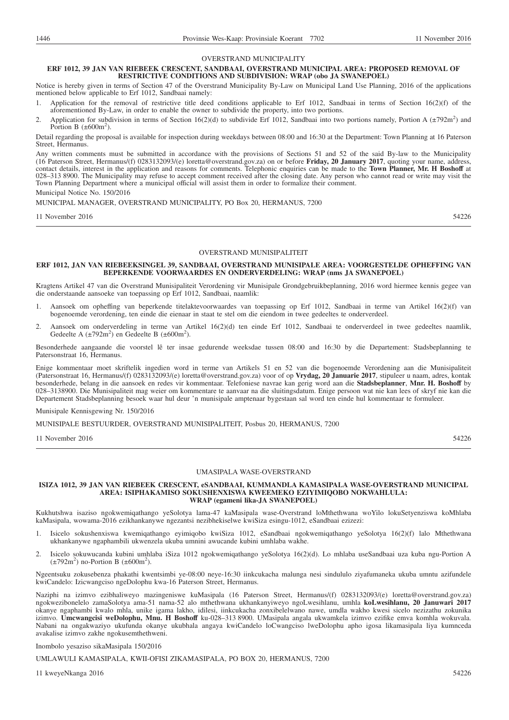#### OVERSTRAND MUNICIPALITY

#### **ERF 1012, 39 JAN VAN RIEBEEK CRESCENT, SANDBAAI, OVERSTRAND MUNICIPAL AREA: PROPOSED REMOVAL OF RESTRICTIVE CONDITIONS AND SUBDIVISION: WRAP (obo JA SWANEPOEL)**

Notice is hereby given in terms of Section 47 of the Overstrand Municipality By-Law on Municipal Land Use Planning, 2016 of the applications mentioned below applicable to Erf 1012, Sandbaai namely:

- Application for the removal of restrictive title deed conditions applicable to Erf 1012, Sandbaai in terms of Section 16(2)(f) of the aforementioned By-Law, in order to enable the owner to subdivide the property, into two portions.
- 2. Application for subdivision in terms of Section 16(2)(d) to subdivide Erf 1012, Sandbaai into two portions namely, Portion A ( $\pm$ 792m<sup>2</sup>) and Portion B  $(\pm 600m^2)$ .

Detail regarding the proposal is available for inspection during weekdays between 08:00 and 16:30 at the Department: Town Planning at 16 Paterson Street, Hermanus.

Any written comments must be submitted in accordance with the provisions of Sections 51 and 52 of the said By-law to the Municipality (16 Paterson Street, Hermanus/(f) 0283132093/(e) loretta@overstrand.gov.za) on or before **Friday, 20 January 2017**, quoting your name, address, contact details, interest in the application and reasons for comments. Telephonic enquiries can be made to the **Town Planner, Mr. H Boshoff** at 028–313 8900. The Municipality may refuse to accept comment received after the closing date. Any person who cannot read or write may visit the Town Planning Department where a municipal official will assist them in order to formalize their comment.

Municipal Notice No. 150/2016

MUNICIPAL MANAGER, OVERSTRAND MUNICIPALITY, PO Box 20, HERMANUS, 7200

#### 11 November 2016 54226

### OVERSTRAND MUNISIPALITEIT

#### **ERF 1012, JAN VAN RIEBEEKSINGEL 39, SANDBAAI, OVERSTRAND MUNISIPALE AREA: VOORGESTELDE OPHEFFING VAN BEPERKENDE VOORWAARDES EN ONDERVERDELING: WRAP (nms JA SWANEPOEL)**

Kragtens Artikel 47 van die Overstrand Munisipaliteit Verordening vir Munisipale Grondgebruikbeplanning, 2016 word hiermee kennis gegee van die onderstaande aansoeke van toepassing op Erf 1012, Sandbaai, naamlik:

- 1. Aansoek om opheffing van beperkende titelaktevoorwaardes van toepassing op Erf 1012, Sandbaai in terme van Artikel 16(2)(f) van bogenoemde verordening, ten einde die eienaar in staat te stel om die eiendom in twee gedeeltes te onderverdeel.
- 2. Aansoek om onderverdeling in terme van Artikel 16(2)(d) ten einde Erf 1012, Sandbaai te onderverdeel in twee gedeeltes naamlik, Gedeelte A  $(\pm 792 \text{m}^2)$  en Gedeelte B  $(\pm 600 \text{m}^2)$ .

Besonderhede aangaande die voorstel lê ter insae gedurende weeksdae tussen 08:00 and 16:30 by die Departement: Stadsbeplanning te Patersonstraat 16, Hermanus.

Enige kommentaar moet skriftelik ingedien word in terme van Artikels 51 en 52 van die bogenoemde Verordening aan die Munisipaliteit (Patersonstraat 16, Hermanus/(f) 0283132093/(e) loretta@overstrand.gov.za) voor of op **Vrydag, 20 Januarie 2017**, stipuleer u naam, adres, kontak besonderhede, belang in die aansoek en redes vir kommentaar. Telefoniese navrae kan gerig word aan die **Stadsbeplanner**, **Mnr. H. Boshoff** by 028–3138900. Die Munisipaliteit mag weier om kommentare te aanvaar na die sluitingsdatum. Enige persoon wat nie kan lees of skryf nie kan die Departement Stadsbeplanning besoek waar hul deur 'n munisipale amptenaar bygestaan sal word ten einde hul kommentaar te formuleer.

#### Munisipale Kennisgewing Nr. 150/2016

MUNISIPALE BESTUURDER, OVERSTRAND MUNISIPALITEIT, Posbus 20, HERMANUS, 7200

11 November 2016 54226

#### UMASIPALA WASE-OVERSTRAND

#### **ISIZA 1012, 39 JAN VAN RIEBEEK CRESCENT, eSANDBAAI, KUMMANDLA KAMASIPALA WASE-OVERSTRAND MUNICIPAL AREA: ISIPHAKAMISO SOKUSHENXISWA KWEEMEKO EZIYIMIQOBO NOKWAHLULA: WRAP (egameni lika-JA SWANEPOEL)**

Kukhutshwa isaziso ngokwemiqathango yeSolotya lama-47 kaMasipala wase-Overstrand loMthethwana woYilo lokuSetyenziswa koMhlaba kaMasipala, wowama-2016 ezikhankanywe ngezantsi nezibhekiselwe kwiSiza esingu-1012, eSandbaai ezizezi:

- 1. Isicelo sokushenxiswa kwemiqathango eyimiqobo kwiSiza 1012, eSandbaai ngokwemiqathango yeSolotya 16(2)(f) lalo Mthethwana ukhankanywe ngaphambili ukwenzela ukuba umnini awucande kubini umhlaba wakhe.
- 2. Isicelo sokuwucanda kubini umhlaba iSiza 1012 ngokwemiqathango yeSolotya 16(2)(d). Lo mhlaba useSandbaai uza kuba ngu-Portion A  $(\pm 792 \text{m}^2)$  no-Portion B  $(\pm 600 \text{m}^2)$ .

Ngeentsuku zokusebenza phakathi kwentsimbi ye-08:00 neye-16:30 iinkcukacha malunga nesi sindululo ziyafumaneka ukuba umntu azifundele kwiCandelo: Izicwangciso ngeDolophu kwa-16 Paterson Street, Hermanus.

Naziphi na izimvo ezibhaliweyo mazingeniswe kuMasipala (16 Paterson Street, Hermanus/(f) 0283132093/(e) loretta@overstrand.gov.za) ngokwezibonelelo zamaSolotya ama-51 nama-52 alo mthethwana ukhankanyiweyo ngoLwesihlanu, umhla **koLwesihlanu, 20 Januwari 2017** okanye ngaphambi kwalo mhla, unike igama lakho, idilesi, iinkcukacha zonxibelelwano nawe, umdla wakho kwesi sicelo nezizathu zokunika izimvo. **Umcwangcisi weDolophu, Mnu. H Boshoff** ku-028–313 8900. UMasipala angala ukwamkela izimvo ezifike emva komhla wokuvala. Nabani na ongakwaziyo ukufunda okanye ukubhala angaya kwiCandelo loCwangciso lweDolophu apho igosa likamasipala liya kumnceda avakalise izimvo zakhe ngokusemthethweni.

Inombolo yesaziso sikaMasipala 150/2016

UMLAWULI KAMASIPALA, KWII-OFISI ZIKAMASIPALA, PO BOX 20, HERMANUS, 7200

11 kweyeNkanga 2016 54226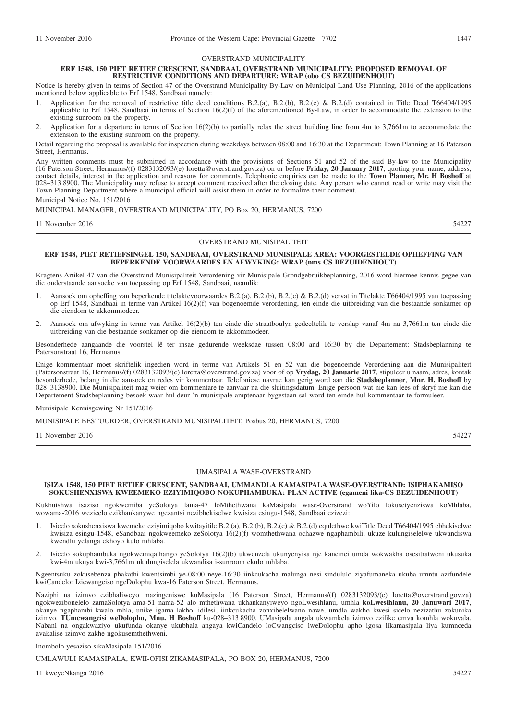#### OVERSTRAND MUNICIPALITY

#### **ERF 1548, 150 PIET RETIEF CRESCENT, SANDBAAI, OVERSTRAND MUNICIPALITY: PROPOSED REMOVAL OF RESTRICTIVE CONDITIONS AND DEPARTURE: WRAP (obo CS BEZUIDENHOUT)**

Notice is hereby given in terms of Section 47 of the Overstrand Municipality By-Law on Municipal Land Use Planning, 2016 of the applications mentioned below applicable to Erf 1548, Sandbaai namely:

- Application for the removal of restrictive title deed conditions B.2.(a), B.2.(b), B.2.(c) & B.2.(d) contained in Title Deed T66404/1995 applicable to Erf 1548, Sandbaai in terms of Section  $16(2)(f)$  of the aforementioned By-Law, in order to accommodate the extension to the existing sunroom on the property.
- 2. Application for a departure in terms of Section 16(2)(b) to partially relax the street building line from 4m to 3,7661m to accommodate the extension to the existing sunroom on the property.

Detail regarding the proposal is available for inspection during weekdays between 08:00 and 16:30 at the Department: Town Planning at 16 Paterson Street, Hermanus.

Any written comments must be submitted in accordance with the provisions of Sections 51 and 52 of the said By-law to the Municipality (16 Paterson Street, Hermanus/(f) 0283132093/(e) loretta@overstrand.gov.za) on or before **Friday, 20 January 2017**, quoting your name, address, contact details, interest in the application and reasons for comments. Telephonic enquiries can be made to the **Town Planner, Mr. H Boshoff** at 028–313 8900. The Municipality may refuse to accept comment received after the closing date. Any person who cannot read or write may visit the Town Planning Department where a municipal official will assist them in order to formalize their comment.

Municipal Notice No. 151/2016

MUNICIPAL MANAGER, OVERSTRAND MUNICIPALITY, PO Box 20, HERMANUS, 7200

11 November 2016 54227

#### OVERSTRAND MUNISIPALITEIT

#### **ERF 1548, PIET RETIEFSINGEL 150, SANDBAAI, OVERSTRAND MUNISIPALE AREA: VOORGESTELDE OPHEFFING VAN BEPERKENDE VOORWAARDES EN AFWYKING: WRAP (nms CS BEZUIDENHOUT)**

Kragtens Artikel 47 van die Overstrand Munisipaliteit Verordening vir Munisipale Grondgebruikbeplanning, 2016 word hiermee kennis gegee van die onderstaande aansoeke van toepassing op Erf 1548, Sandbaai, naamlik:

- 1. Aansoek om opheffing van beperkende titelaktevoorwaardes B.2.(a), B.2.(b), B.2.(c) & B.2.(d) vervat in Titelakte T66404/1995 van toepassing op Erf 1548, Sandbaai in terme van Artikel 16(2)(f) van bogenoemde verordening, ten einde die uitbreiding van die bestaande sonkamer op die eiendom te akkommodeer.
- 2. Aansoek om afwyking in terme van Artikel 16(2)(b) ten einde die straatboulyn gedeeltelik te verslap vanaf 4m na 3,7661m ten einde die uitbreiding van die bestaande sonkamer op die eiendom te akkommodeer.

Besonderhede aangaande die voorstel lê ter insae gedurende weeksdae tussen 08:00 and 16:30 by die Departement: Stadsbeplanning te Patersonstraat 16, Hermanus.

Enige kommentaar moet skriftelik ingedien word in terme van Artikels 51 en 52 van die bogenoemde Verordening aan die Munisipaliteit (Patersonstraat 16, Hermanus/(f) 0283132093/(e) loretta@overstrand.gov.za) voor of op **Vrydag, 20 Januarie 2017**, stipuleer u naam, adres, kontak besonderhede, belang in die aansoek en redes vir kommentaar. Telefoniese navrae kan gerig word aan die **Stadsbeplanner**, **Mnr. H. Boshoff** by 028–3138900. Die Munisipaliteit mag weier om kommentare te aanvaar na die sluitingsdatum. Enige persoon wat nie kan lees of skryf nie kan die Departement Stadsbeplanning besoek waar hul deur 'n munisipale amptenaar bygestaan sal word ten einde hul kommentaar te formuleer.

Munisipale Kennisgewing Nr 151/2016

MUNISIPALE BESTUURDER, OVERSTRAND MUNISIPALITEIT, Posbus 20, HERMANUS, 7200

11 November 2016 54227

#### UMASIPALA WASE-OVERSTRAND

#### **ISIZA 1548, 150 PIET RETIEF CRESCENT, SANDBAAI, UMMANDLA KAMASIPALA WASE-OVERSTRAND: ISIPHAKAMISO SOKUSHENXISWA KWEEMEKO EZIYIMIQOBO NOKUPHAMBUKA: PLAN ACTIVE (egameni lika-CS BEZUIDENHOUT)**

Kukhutshwa isaziso ngokwemiba yeSolotya lama-47 loMthethwana kaMasipala wase-Overstrand woYilo lokusetyenziswa koMhlaba, wowama-2016 wezicelo ezikhankanywe ngezantsi nezibhekiselwe kwisiza esingu-1548, Sandbaai ezizezi:

- 1. Isicelo sokushenxiswa kwemeko eziyimiqobo kwitayitile B.2.(a), B.2.(b), B.2.(c) & B.2.(d) equlethwe kwiTitle Deed T66404/1995 ebhekiselwe kwisiza esingu-1548, eSandbaai ngokweemeko zeSolotya 16(2)(f) womthethwana ochazwe ngaphambili, ukuze kulungiselelwe ukwandiswa kwendlu yelanga ekhoyo kulo mhlaba.
- 2. Isicelo sokuphambuka ngokwemiqathango yeSolotya 16(2)(b) ukwenzela ukunyenyisa nje kancinci umda wokwakha osesitratweni ukusuka kwi-4m ukuya kwi-3,7661m ukulungiselela ukwandisa i-sunroom ekulo mhlaba.

Ngeentsuku zokusebenza phakathi kwentsimbi ye-08:00 neye-16:30 iinkcukacha malunga nesi sindululo ziyafumaneka ukuba umntu azifundele kwiCandelo: Izicwangciso ngeDolophu kwa-16 Paterson Street, Hermanus.

Naziphi na izimvo ezibhaliweyo mazingeniswe kuMasipala (16 Paterson Street, Hermanus/(f) 0283132093/(e) loretta@overstrand.gov.za) ngokwezibonelelo zamaSolotya ama-51 nama-52 alo mthethwana ukhankanyiweyo ngoLwesihlanu, umhla **koLwesihlanu, 20 Januwari 2017**, okanye ngaphambi kwalo mhla, unike igama lakho, idilesi, iinkcukacha zonxibelelwano nawe, umdla wakho kwesi sicelo nezizathu zokunika izimvo. **TUmcwangcisi weDolophu, Mnu. H Boshoff** ku-028–313 8900. UMasipala angala ukwamkela izimvo ezifike emva komhla wokuvala. Nabani na ongakwaziyo ukufunda okanye ukubhala angaya kwiCandelo loCwangciso lweDolophu apho igosa likamasipala liya kumnceda avakalise izimvo zakhe ngokusemthethweni.

Inombolo yesaziso sikaMasipala 151/2016

UMLAWULI KAMASIPALA, KWII-OFISI ZIKAMASIPALA, PO BOX 20, HERMANUS, 7200

11 kweyeNkanga 2016 54227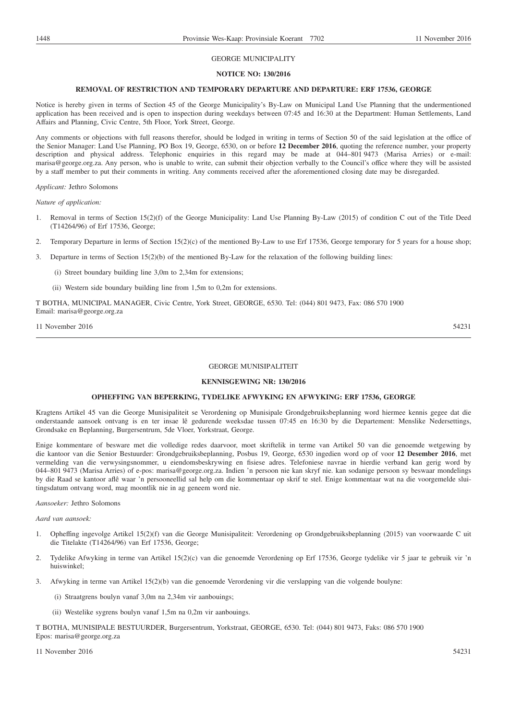### GEORGE MUNICIPALITY

#### **NOTICE NO: 130/2016**

#### **REMOVAL OF RESTRICTION AND TEMPORARY DEPARTURE AND DEPARTURE: ERF 17536, GEORGE**

Notice is hereby given in terms of Section 45 of the George Municipality's By-Law on Municipal Land Use Planning that the undermentioned application has been received and is open to inspection during weekdays between 07:45 and 16:30 at the Department: Human Settlements, Land Affairs and Planning, Civic Centre, 5th Floor, York Street, George.

Any comments or objections with full reasons therefor, should be lodged in writing in terms of Section 50 of the said legislation at the office of the Senior Manager: Land Use Planning, PO Box 19, George, 6530, on or before **12 December 2016**, quoting the reference number, your property description and physical address. Telephonic enquiries in this regard may be made at 044–801 9473 (Marisa Arries) or e-mail: marisa@george.org.za. Any person, who is unable to write, can submit their objection verbally to the Council's office where they will be assisted by a staff member to put their comments in writing. Any comments received after the aforementioned closing date may be disregarded.

#### *Applicant:* Jethro Solomons

*Nature of application:*

- 1. Removal in terms of Section 15(2)(f) of the George Municipality: Land Use Planning By-Law (2015) of condition C out of the Title Deed (T14264/96) of Erf 17536, George;
- 2. Temporary Departure in lerms of Section 15(2)(c) of the mentioned By-Law to use Erf 17536, George temporary for 5 years for a house shop;
- 3. Departure in terms of Section 15(2)(b) of the mentioned By-Law for the relaxation of the following building lines:
	- (i) Street boundary building line 3,0m to 2,34m for extensions;
	- (ii) Western side boundary building line from 1,5m to 0,2m for extensions.

T BOTHA, MUNICIPAL MANAGER, Civic Centre, York Street, GEORGE, 6530. Tel: (044) 801 9473, Fax: 086 570 1900 Email: marisa@george.org.za

11 November 2016 54231

#### GEORGE MUNISIPALITEIT

#### **KENNISGEWING NR: 130/2016**

#### **OPHEFFING VAN BEPERKING, TYDELIKE AFWYKING EN AFWYKING: ERF 17536, GEORGE**

Kragtens Artikel 45 van die George Munisipaliteit se Verordening op Munisipale Grondgebruiksbeplanning word hiermee kennis gegee dat die onderstaande aansoek ontvang is en ter insae lê gedurende weeksdae tussen 07:45 en 16:30 by die Departement: Menslike Nedersettings, Grondsake en Beplanning, Burgersentrum, 5de Vloer, Yorkstraat, George.

Enige kommentare of besware met die volledige redes daarvoor, moet skriftelik in terme van Artikel 50 van die genoemde wetgewing by die kantoor van die Senior Bestuurder: Grondgebruiksbeplanning, Posbus 19, George, 6530 ingedien word op of voor **12 Desember 2016**, met vermelding van die verwysingsnommer, u eiendomsbeskrywing en fisiese adres. Telefoniese navrae in hierdie verband kan gerig word by 044–801 9473 (Marisa Arries) of e-pos: marisa@george.org.za. Indien 'n persoon nie kan skryf nie. kan sodanige persoon sy beswaar mondelings by die Raad se kantoor aflê waar 'n persooneellid sal help om die kommentaar op skrif te stel. Enige kommentaar wat na die voorgemelde sluitingsdatum ontvang word, mag moontlik nie in ag geneem word nie.

#### *Aansoeker:* Jethro Solomons

#### *Aard van aansoek:*

- 1. Opheffing ingevolge Artikel 15(2)(f) van die George Munisipaliteit: Verordening op Grondgebruiksbeplanning (2015) van voorwaarde C uit die Titelakte (T14264/96) van Erf 17536, George;
- 2. Tydelike Afwyking in terme van Artikel 15(2)(c) van die genoemde Verordening op Erf 17536, George tydelike vir 5 jaar te gebruik vir 'n huiswinkel;
- 3. Afwyking in terme van Artikel 15(2)(b) van die genoemde Verordening vir die verslapping van die volgende boulyne:
	- (i) Straatgrens boulyn vanaf 3,0m na 2,34m vir aanbouings;
	- (ii) Westelike sygrens boulyn vanaf 1,5m na 0,2m vir aanbouings.

T BOTHA, MUNISIPALE BESTUURDER, Burgersentrum, Yorkstraat, GEORGE, 6530. Tel: (044) 801 9473, Faks: 086 570 1900 Epos: marisa@george.org.za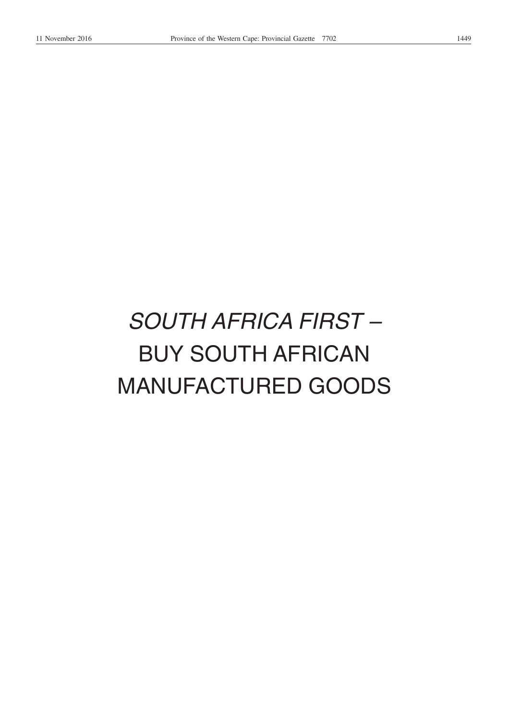# *SOUTH AFRICA FIRST –* BUY SOUTH AFRICAN MANUFACTURED GOODS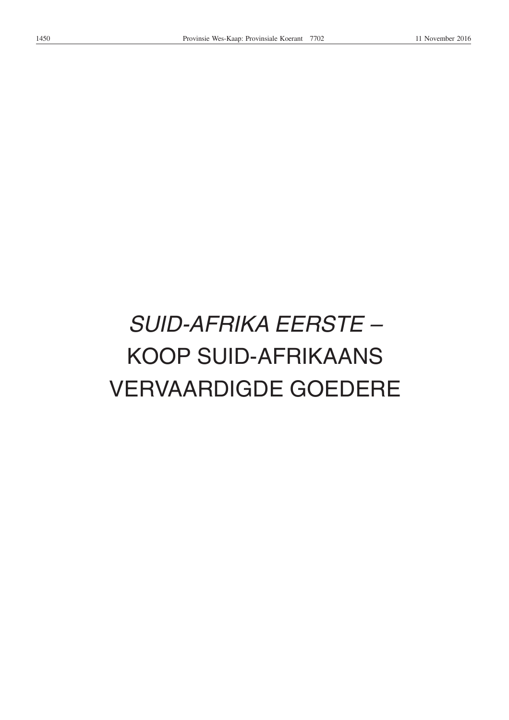# *SUID-AFRIKA EERSTE –* KOOP SUID-AFRIKAANS VERVAARDIGDE GOEDERE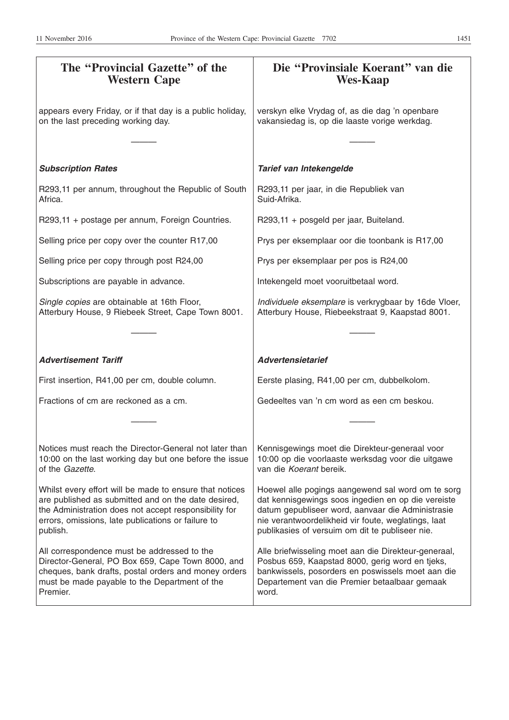| The "Provincial Gazette" of the<br><b>Western Cape</b>                                                                                                                                                                                    | Die "Provinsiale Koerant" van die<br><b>Wes-Kaap</b>                                                                                                                                                                                                                   |
|-------------------------------------------------------------------------------------------------------------------------------------------------------------------------------------------------------------------------------------------|------------------------------------------------------------------------------------------------------------------------------------------------------------------------------------------------------------------------------------------------------------------------|
| appears every Friday, or if that day is a public holiday,<br>on the last preceding working day.                                                                                                                                           | verskyn elke Vrydag of, as die dag 'n openbare<br>vakansiedag is, op die laaste vorige werkdag.                                                                                                                                                                        |
|                                                                                                                                                                                                                                           |                                                                                                                                                                                                                                                                        |
| <b>Subscription Rates</b>                                                                                                                                                                                                                 | Tarief van Intekengelde                                                                                                                                                                                                                                                |
| R293,11 per annum, throughout the Republic of South<br>Africa.                                                                                                                                                                            | R293,11 per jaar, in die Republiek van<br>Suid-Afrika.                                                                                                                                                                                                                 |
| R293,11 + postage per annum, Foreign Countries.                                                                                                                                                                                           | R293,11 + posgeld per jaar, Buiteland.                                                                                                                                                                                                                                 |
| Selling price per copy over the counter R17,00                                                                                                                                                                                            | Prys per eksemplaar oor die toonbank is R17,00                                                                                                                                                                                                                         |
| Selling price per copy through post R24,00                                                                                                                                                                                                | Prys per eksemplaar per pos is R24,00                                                                                                                                                                                                                                  |
| Subscriptions are payable in advance.                                                                                                                                                                                                     | Intekengeld moet vooruitbetaal word.                                                                                                                                                                                                                                   |
| Single copies are obtainable at 16th Floor,<br>Atterbury House, 9 Riebeek Street, Cape Town 8001.                                                                                                                                         | Individuele eksemplare is verkrygbaar by 16de Vloer,<br>Atterbury House, Riebeekstraat 9, Kaapstad 8001.                                                                                                                                                               |
|                                                                                                                                                                                                                                           |                                                                                                                                                                                                                                                                        |
| <b>Advertisement Tariff</b>                                                                                                                                                                                                               | <b>Advertensietarief</b>                                                                                                                                                                                                                                               |
| First insertion, R41,00 per cm, double column.                                                                                                                                                                                            | Eerste plasing, R41,00 per cm, dubbelkolom.                                                                                                                                                                                                                            |
| Fractions of cm are reckoned as a cm.                                                                                                                                                                                                     | Gedeeltes van 'n cm word as een cm beskou.                                                                                                                                                                                                                             |
|                                                                                                                                                                                                                                           |                                                                                                                                                                                                                                                                        |
| Notices must reach the Director-General not later than<br>10:00 on the last working day but one before the issue<br>of the Gazette.                                                                                                       | Kennisgewings moet die Direkteur-generaal voor<br>10:00 op die voorlaaste werksdag voor die uitgawe<br>van die Koerant bereik.                                                                                                                                         |
| Whilst every effort will be made to ensure that notices<br>are published as submitted and on the date desired,<br>the Administration does not accept responsibility for<br>errors, omissions, late publications or failure to<br>publish. | Hoewel alle pogings aangewend sal word om te sorg<br>dat kennisgewings soos ingedien en op die vereiste<br>datum gepubliseer word, aanvaar die Administrasie<br>nie verantwoordelikheid vir foute, weglatings, laat<br>publikasies of versuim om dit te publiseer nie. |
| All correspondence must be addressed to the<br>Director-General, PO Box 659, Cape Town 8000, and<br>cheques, bank drafts, postal orders and money orders<br>must be made payable to the Department of the<br>Premier.                     | Alle briefwisseling moet aan die Direkteur-generaal,<br>Posbus 659, Kaapstad 8000, gerig word en tjeks,<br>bankwissels, posorders en poswissels moet aan die<br>Departement van die Premier betaalbaar gemaak<br>word.                                                 |